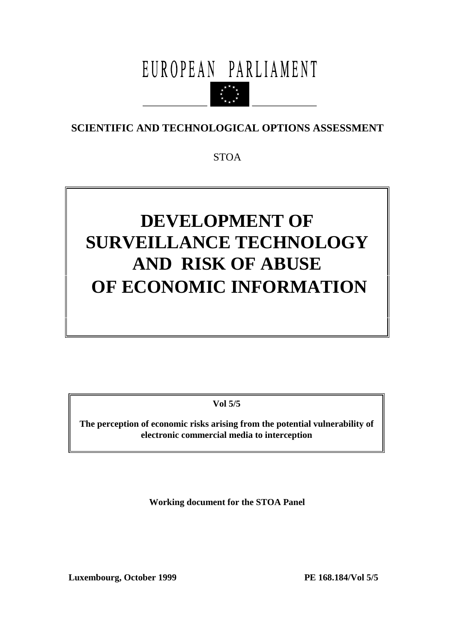# EUROPEAN PARLIAMENT

# **SCIENTIFIC AND TECHNOLOGICAL OPTIONS ASSESSMENT**

STOA

# **DEVELOPMENT OF SURVEILLANCE TECHNOLOGY AND RISK OF ABUSE OF ECONOMIC INFORMATION**

**Vol 5/5**

**The perception of economic risks arising from the potential vulnerability of electronic commercial media to interception**

**Working document for the STOA Panel**

**Luxembourg, October 1999 PE 168.184/Vol 5/5**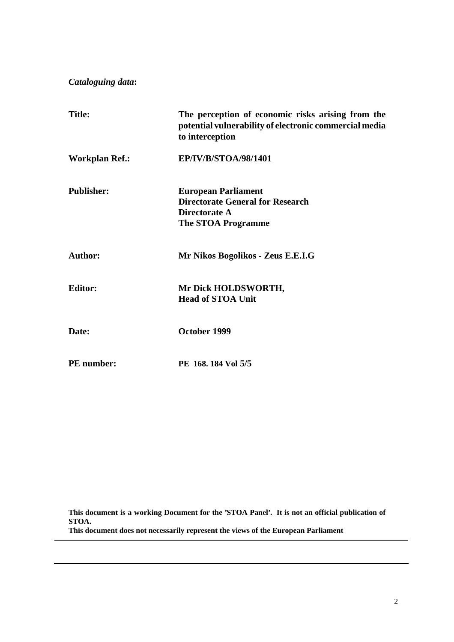*Cataloguing data***:**

| <b>Title:</b>         | The perception of economic risks arising from the<br>potential vulnerability of electronic commercial media<br>to interception |
|-----------------------|--------------------------------------------------------------------------------------------------------------------------------|
| <b>Workplan Ref.:</b> | <b>EP/IV/B/STOA/98/1401</b>                                                                                                    |
| <b>Publisher:</b>     | <b>European Parliament</b><br><b>Directorate General for Research</b><br>Directorate A<br><b>The STOA Programme</b>            |
| <b>Author:</b>        | Mr Nikos Bogolikos - Zeus E.E.I.G                                                                                              |
| <b>Editor:</b>        | Mr Dick HOLDSWORTH,<br><b>Head of STOA Unit</b>                                                                                |
| Date:                 | October 1999                                                                                                                   |
| <b>PE</b> number:     | PE 168, 184 Vol 5/5                                                                                                            |

**This document is a working Document for the 'STOA Panel'. It is not an official publication of STOA. This document does not necessarily represent the views of the European Parliament**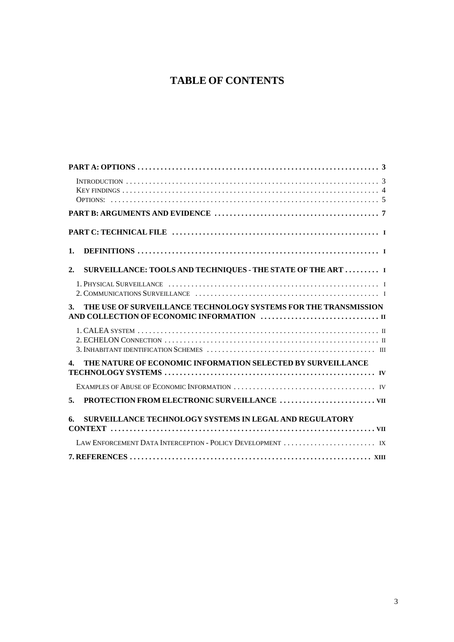# **TABLE OF CONTENTS**

| 1.                                                                            |
|-------------------------------------------------------------------------------|
| SURVEILLANCE: TOOLS AND TECHNIQUES - THE STATE OF THE ART  I<br>2.            |
|                                                                               |
| THE USE OF SURVEILLANCE TECHNOLOGY SYSTEMS FOR THE TRANSMISSION<br><b>3.</b>  |
|                                                                               |
| THE NATURE OF ECONOMIC INFORMATION SELECTED BY SURVEILLANCE<br>$\mathbf{4}$ . |
|                                                                               |
| 5.                                                                            |
| <b>SURVEILLANCE TECHNOLOGY SYSTEMS IN LEGAL AND REGULATORY</b><br>6.          |
|                                                                               |
|                                                                               |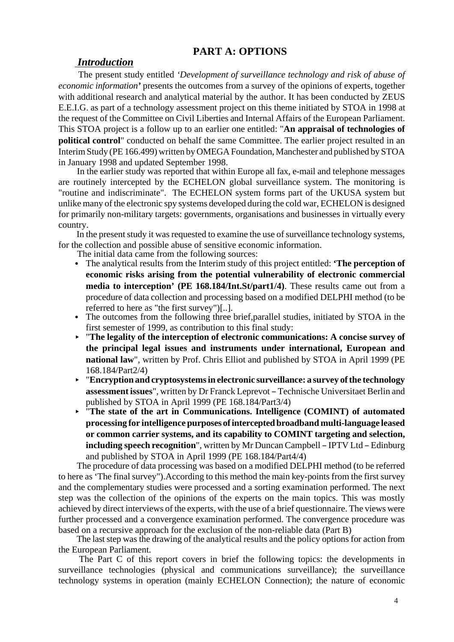### **PART A: OPTIONS**

### *Introduction*

The present study entitled *'Development of surveillance technology and risk of abuse of economic information'* presents the outcomes from a survey of the opinions of experts, together with additional research and analytical material by the author. It has been conducted by ZEUS E.E.I.G. as part of a technology assessment project on this theme initiated by STOA in 1998 at the request of the Committee on Civil Liberties and Internal Affairs of the European Parliament. This STOA project is a follow up to an earlier one entitled: "**An appraisal of technologies of political control**" conducted on behalf the same Committee. The earlier project resulted in an Interim Study (PE 166.499) written by OMEGA Foundation, Manchester and published by STOA in January 1998 and updated September 1998.

 In the earlier study was reported that within Europe all fax, e-mail and telephone messages are routinely intercepted by the ECHELON global surveillance system. The monitoring is "routine and indiscriminate". The ECHELON system forms part of the UKUSA system but unlike many of the electronic spy systems developed during the cold war, ECHELON is designed for primarily non-military targets: governments, organisations and businesses in virtually every country.

 In the present study it was requested to examine the use of surveillance technology systems, for the collection and possible abuse of sensitive economic information.

The initial data came from the following sources:

- The analytical results from the Interim study of this project entitled: **The perception of economic risks arising from the potential vulnerability of electronic commercial media to interception' (PE 168.184/Int.St/part1/4)**. These results came out from a procedure of data collection and processing based on a modified DELPHI method (to be referred to here as "the first survey")[..].
- The outcomes from the following three brief, parallel studies, initiated by STOA in the first semester of 1999, as contribution to this final study:
- < "**The legality of the interception of electronic communications: A concise survey of the principal legal issues and instruments under international, European and national law**", written by Prof. Chris Elliot and published by STOA in April 1999 (PE 168.184/Part2/4)
- < "**Encryption and cryptosystems in electronic surveillance: a survey of the technology assessment issues**", written by Dr Franck Leprevot - Technische Universitaet Berlin and published by STOA in April 1999 (PE 168.184/Part3/4)
- < "**The state of the art in Communications. Intelligence (COMINT) of automated processing for intelligence purposes of intercepted broadband multi-language leased or common carrier systems, and its capability to COMINT targeting and selection, including speech recognition**", written by Mr Duncan Campbell – IPTV Ltd – Edinburg and published by STOA in April 1999 (PE 168.184/Part4/4)

 The procedure of data processing was based on a modified DELPHI method (to be referred to here as 'The final survey").According to this method the main key-points from the first survey and the complementary studies were processed and a sorting examination performed. The next step was the collection of the opinions of the experts on the main topics. This was mostly achieved by direct interviews of the experts, with the use of a brief questionnaire. The views were further processed and a convergence examination performed. The convergence procedure was based on a recursive approach for the exclusion of the non-reliable data (Part B)

 The last step was the drawing of the analytical results and the policy options for action from the European Parliament.

 The Part C of this report covers in brief the following topics: the developments in surveillance technologies (physical and communications surveillance); the surveillance technology systems in operation (mainly ECHELON Connection); the nature of economic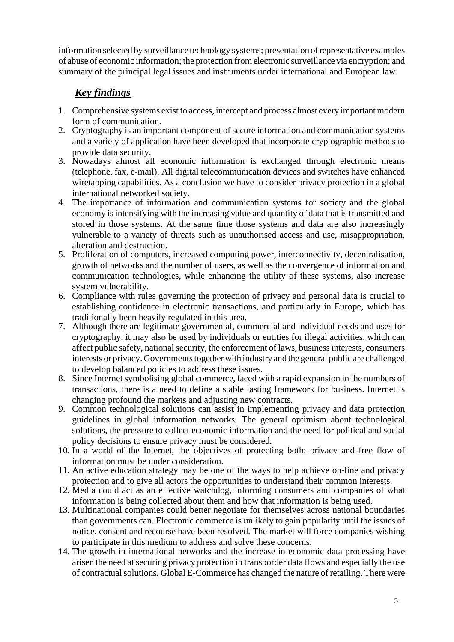information selected by surveillance technology systems; presentation of representative examples of abuse of economic information; the protection from electronic surveillance via encryption; and summary of the principal legal issues and instruments under international and European law.

# *Key findings*

- 1. Comprehensive systems exist to access, intercept and process almost every important modern form of communication.
- 2. Cryptography is an important component of secure information and communication systems and a variety of application have been developed that incorporate cryptographic methods to provide data security.
- 3. Nowadays almost all economic information is exchanged through electronic means (telephone, fax, e-mail). All digital telecommunication devices and switches have enhanced wiretapping capabilities. As a conclusion we have to consider privacy protection in a global international networked society.
- 4. The importance of information and communication systems for society and the global economy is intensifying with the increasing value and quantity of data that is transmitted and stored in those systems. At the same time those systems and data are also increasingly vulnerable to a variety of threats such as unauthorised access and use, misappropriation, alteration and destruction.
- 5. Proliferation of computers, increased computing power, interconnectivity, decentralisation, growth of networks and the number of users, as well as the convergence of information and communication technologies, while enhancing the utility of these systems, also increase system vulnerability.
- 6. Compliance with rules governing the protection of privacy and personal data is crucial to establishing confidence in electronic transactions, and particularly in Europe, which has traditionally been heavily regulated in this area.
- 7. Although there are legitimate governmental, commercial and individual needs and uses for cryptography, it may also be used by individuals or entities for illegal activities, which can affect public safety, national security, the enforcement of laws, business interests, consumers interests or privacy. Governments together with industry and the general public are challenged to develop balanced policies to address these issues.
- 8. Since Internet symbolising global commerce, faced with a rapid expansion in the numbers of transactions, there is a need to define a stable lasting framework for business. Internet is changing profound the markets and adjusting new contracts.
- 9. Common technological solutions can assist in implementing privacy and data protection guidelines in global information networks. The general optimism about technological solutions, the pressure to collect economic information and the need for political and social policy decisions to ensure privacy must be considered.
- 10. In a world of the Internet, the objectives of protecting both: privacy and free flow of information must be under consideration.
- 11. An active education strategy may be one of the ways to help achieve on-line and privacy protection and to give all actors the opportunities to understand their common interests.
- 12. Media could act as an effective watchdog, informing consumers and companies of what information is being collected about them and how that information is being used.
- 13. Multinational companies could better negotiate for themselves across national boundaries than governments can. Electronic commerce is unlikely to gain popularity until the issues of notice, consent and recourse have been resolved. The market will force companies wishing to participate in this medium to address and solve these concerns.
- 14. The growth in international networks and the increase in economic data processing have arisen the need at securing privacy protection in transborder data flows and especially the use of contractual solutions. Global E-Commerce has changed the nature of retailing. There were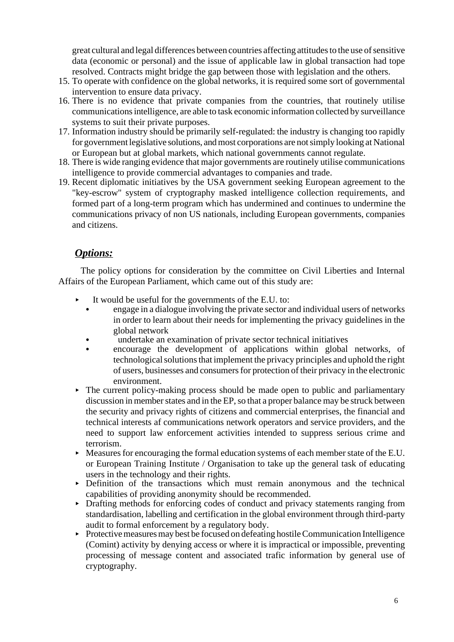great cultural and legal differences between countries affecting attitudes to the use of sensitive data (economic or personal) and the issue of applicable law in global transaction had tope resolved. Contracts might bridge the gap between those with legislation and the others.

- 15. To operate with confidence on the global networks, it is required some sort of governmental intervention to ensure data privacy.
- 16. There is no evidence that private companies from the countries, that routinely utilise communications intelligence, are able to task economic information collected by surveillance systems to suit their private purposes.
- 17. Information industry should be primarily self-regulated: the industry is changing too rapidly for government legislative solutions, and most corporations are not simply looking at National or European but at global markets, which national governments cannot regulate.
- 18. There is wide ranging evidence that major governments are routinely utilise communications intelligence to provide commercial advantages to companies and trade.
- 19. Recent diplomatic initiatives by the USA government seeking European agreement to the "key-escrow" system of cryptography masked intelligence collection requirements, and formed part of a long-term program which has undermined and continues to undermine the communications privacy of non US nationals, including European governments, companies and citizens.

## *Options:*

 The policy options for consideration by the committee on Civil Liberties and Internal Affairs of the European Parliament, which came out of this study are:

- $\blacktriangleright$  It would be useful for the governments of the E.U. to:
	- engage in a dialogue involving the private sector and individual users of networks in order to learn about their needs for implementing the privacy guidelines in the global network
	- undertake an examination of private sector technical initiatives
	- encourage the development of applications within global networks, of technological solutions that implement the privacy principles and uphold the right of users, businesses and consumers for protection of their privacy in the electronic environment.
- $\rightarrow$  The current policy-making process should be made open to public and parliamentary discussion in member states and in the EP, so that a proper balance may be struck between the security and privacy rights of citizens and commercial enterprises, the financial and technical interests af communications network operators and service providers, and the need to support law enforcement activities intended to suppress serious crime and terrorism.<br>
In Measures for encouraging the formal education systems of each member state of the E.U.
- or European Training Institute / Organisation to take up the general task of educating users in the technology and their rights.
- $\rightarrow$  Definition of the transactions which must remain anonymous and the technical
- capabilities of providing anonymity should be recommended. <sup>&</sup>lt; Drafting methods for enforcing codes of conduct and privacy statements ranging from standardisation, labelling and certification in the global environment through third-party audit to formal enforcement by a regulatory body.
- $\triangleright$  Protective measures may best be focused on defeating hostile Communication Intelligence (Comint) activity by denying access or where it is impractical or impossible, preventing processing of message content and associated trafic information by general use of cryptography.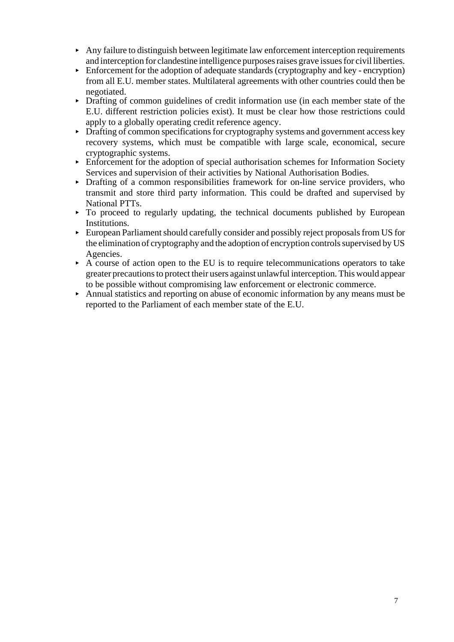- $\rightarrow$  Any failure to distinguish between legitimate law enforcement interception requirements and interception for clandestine intelligence purposes raises grave issues for civil liberties.
- $\triangleright$  Enforcement for the adoption of adequate standards (cryptography and key encryption) from all E.U. member states. Multilateral agreements with other countries could then be negotiated.
- Drafting of common guidelines of credit information use (in each member state of the E.U. different restriction policies exist). It must be clear how those restrictions could apply to a globally operating credit reference agency.
- $\rightarrow$  Drafting of common specifications for cryptography systems and government access key recovery systems, which must be compatible with large scale, economical, secure cryptographic systems.
- $\triangleright$  Enforcement for the adoption of special authorisation schemes for Information Society Services and supervision of their activities by National Authorisation Bodies.
- $\triangleright$  Drafting of a common responsibilities framework for on-line service providers, who transmit and store third party information. This could be drafted and supervised by National PTTs.
- $\triangleright$  To proceed to regularly updating, the technical documents published by European Institutions.
- < European Parliament should carefully consider and possibly reject proposals from US for the elimination of cryptography and the adoption of encryption controls supervised by US Agencies.
- $\triangleright$  A course of action open to the EU is to require telecommunications operators to take greater precautions to protect their users against unlawful interception. This would appear to be possible without compromising law enforcement or electronic commerce.
- < Annual statistics and reporting on abuse of economic information by any means must be reported to the Parliament of each member state of the E.U.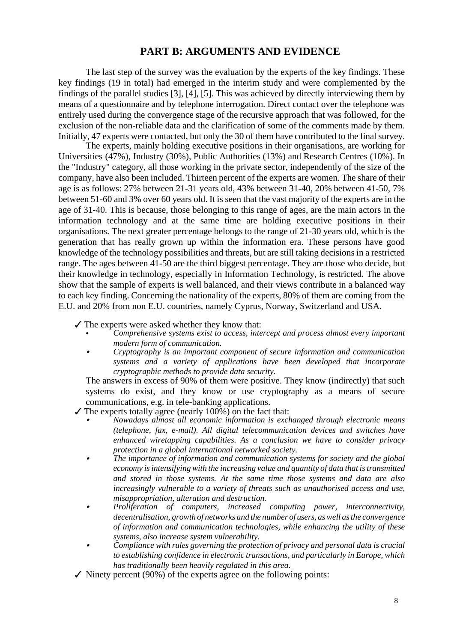### **PART B: ARGUMENTS AND EVIDENCE**

The last step of the survey was the evaluation by the experts of the key findings. These key findings (19 in total) had emerged in the interim study and were complemented by the findings of the parallel studies [3], [4], [5]. This was achieved by directly interviewing them by means of a questionnaire and by telephone interrogation. Direct contact over the telephone was entirely used during the convergence stage of the recursive approach that was followed, for the exclusion of the non-reliable data and the clarification of some of the comments made by them. Initially, 47 experts were contacted, but only the 30 of them have contributed to the final survey.

The experts, mainly holding executive positions in their organisations, are working for Universities (47%), Industry (30%), Public Authorities (13%) and Research Centres (10%). In the "Industry" category, all those working in the private sector, independently of the size of the company, have also been included. Thirteen percent of the experts are women. The share of their age is as follows: 27% between 21-31 years old, 43% between 31-40, 20% between 41-50, 7% between 51-60 and 3% over 60 years old. It is seen that the vast majority of the experts are in the age of 31-40. This is because, those belonging to this range of ages, are the main actors in the information technology and at the same time are holding executive positions in their organisations. The next greater percentage belongs to the range of 21-30 years old, which is the generation that has really grown up within the information era. These persons have good knowledge of the technology possibilities and threats, but are still taking decisions in a restricted range. The ages between 41-50 are the third biggest percentage. They are those who decide, but their knowledge in technology, especially in Information Technology, is restricted. The above show that the sample of experts is well balanced, and their views contribute in a balanced way to each key finding. Concerning the nationality of the experts, 80% of them are coming from the E.U. and 20% from non E.U. countries, namely Cyprus, Norway, Switzerland and USA.

 $\checkmark$  The experts were asked whether they know that:

- C *Comprehensive systems exist to access, intercept and process almost every important modern form of communication.*
- C *Cryptography is an important component of secure information and communication systems and a variety of applications have been developed that incorporate cryptographic methods to provide data security.*

The answers in excess of 90% of them were positive. They know (indirectly) that such systems do exist, and they know or use cryptography as a means of secure communications, e.g. in tele-banking applications.

- The experts totally agree (nearly  $100\%$ ) on the fact that:
	- C *Nowadays almost all economic information is exchanged through electronic means (telephone, fax, e-mail). All digital telecommunication devices and switches have enhanced wiretapping capabilities. As a conclusion we have to consider privacy protection in a global international networked society.*
	- The importance of information and communication systems for society and the global *economy is intensifying with the increasing value and quantity of data that is transmitted and stored in those systems. At the same time those systems and data are also increasingly vulnerable to a variety of threats such as unauthorised access and use, misappropriation, alteration and destruction.*
	- C *Proliferation of computers, increased computing power, interconnectivity, decentralisation, growth of networks and the number of users, as well as the convergence of information and communication technologies, while enhancing the utility of these systems, also increase system vulnerability.*
	- C *Compliance with rules governing the protection of privacy and personal data is crucial to establishing confidence in electronic transactions, and particularly in Europe, which has traditionally been heavily regulated in this area.*
- $\checkmark$  Ninety percent (90%) of the experts agree on the following points: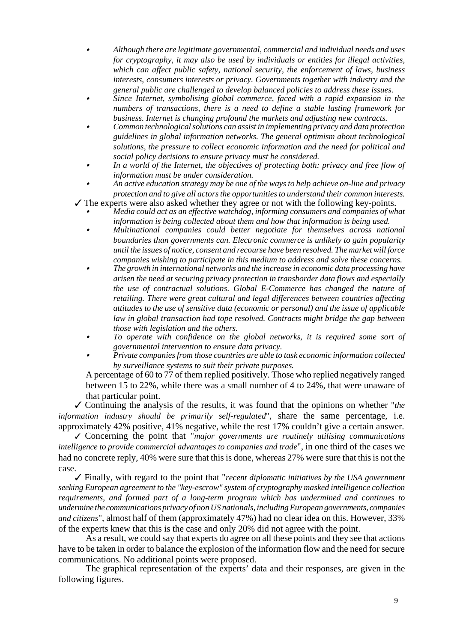- C *Although there are legitimate governmental, commercial and individual needs and uses for cryptography, it may also be used by individuals or entities for illegal activities, which can affect public safety, national security, the enforcement of laws, business interests, consumers interests or privacy. Governments together with industry and the general public are challenged to develop balanced policies to address these issues.*
- Since Internet, symbolising global commerce, faced with a rapid expansion in the *numbers of transactions, there is a need to define a stable lasting framework for business. Internet is changing profound the markets and adjusting new contracts.*
- C *Common technological solutions can assist in implementing privacy and data protection guidelines in global information networks. The general optimism about technological solutions, the pressure to collect economic information and the need for political and social policy decisions to ensure privacy must be considered.*
- In a world of the Internet, the objectives of protecting both: privacy and free flow of *information must be under consideration.*
- C *An active education strategy may be one of the ways to help achieve on-line and privacy protection and to give all actors the opportunities to understand their common interests.*
- The experts were also asked whether they agree or not with the following key-points. Media could act as an effective watchdog, informing consumers and companies of what *information is being collected about them and how that information is being used.*
	- C *Multinational companies could better negotiate for themselves across national boundaries than governments can. Electronic commerce is unlikely to gain popularity until the issues of notice, consent and recourse have been resolved. The market will force companies wishing to participate in this medium to address and solve these concerns.*
	- C *The growth in international networks and the increase in economic data processing have arisen the need at securing privacy protection in transborder data flows and especially the use of contractual solutions. Global E-Commerce has changed the nature of retailing. There were great cultural and legal differences between countries affecting attitudes to the use of sensitive data (economic or personal) and the issue of applicable law in global transaction had tope resolved. Contracts might bridge the gap between those with legislation and the others.*
	- To operate with confidence on the global networks, it is required some sort of *governmental intervention to ensure data privacy.*
	- C *Private companies from those countries are able to task economic information collected by surveillance systems to suit their private purposes.*

A percentage of 60 to 77 of them replied positively. Those who replied negatively ranged between 15 to 22%, while there was a small number of 4 to 24%, that were unaware of that particular point.

T Continuing the analysis of the results, it was found that the opinions on whether "*the information industry should be primarily self-regulated*", share the same percentage, i.e. approximately 42% positive, 41% negative, while the rest 17% couldn't give a certain answer.

T Concerning the point that "*major governments are routinely utilising communications intelligence to provide commercial advantages to companies and trade*", in one third of the cases we had no concrete reply, 40% were sure that this is done, whereas 27% were sure that this is not the case.

T Finally, with regard to the point that "*recent diplomatic initiatives by the USA government seeking European agreement to the "key-escrow" system of cryptography masked intelligence collection requirements, and formed part of a long-term program which has undermined and continues to undermine the communications privacy of non US nationals, including European governments, companies and citizens*", almost half of them (approximately 47%) had no clear idea on this. However, 33% of the experts knew that this is the case and only 20% did not agree with the point.

As a result, we could say that experts do agree on all these points and they see that actions have to be taken in order to balance the explosion of the information flow and the need for secure communications. No additional points were proposed.

The graphical representation of the experts' data and their responses, are given in the following figures.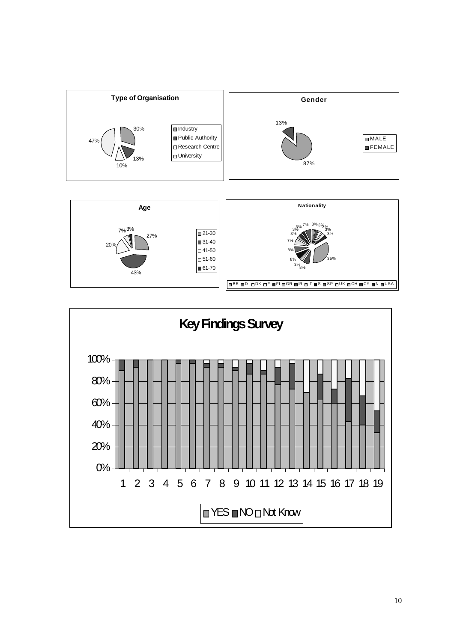

 $\boxed{21-30}$  $\blacksquare$ 31-40  $\vert$   $\Box$  41-50  $\overline{\phantom{0}}$ 51-60  $\blacksquare$ 61-70

**Age**

43%

7%3%

 $20^{\circ}$ 

27%

**Nationality**

 $3\frac{9}{8}\%$ 8% 8% 7% 3%  $3^3$ 

OBE OD DDK OF OFI OGR OIR OIT OS OSP OUK OCH OCY ON OUSA

3%<sub>3%</sub>

3%

35%

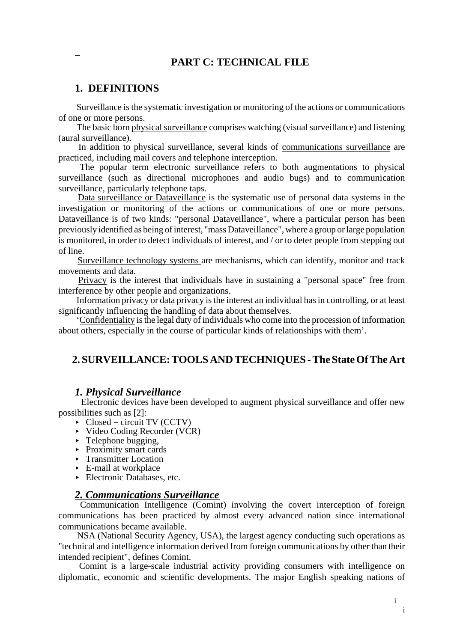## **PART C: TECHNICAL FILE**

#### **1. DEFINITIONS**

 Surveillance is the systematic investigation or monitoring of the actions or communications of one or more persons.

 The basic born physical surveillance comprises watching (visual surveillance) and listening (aural surveillance).

 In addition to physical surveillance, several kinds of communications surveillance are practiced, including mail covers and telephone interception.

The popular term electronic surveillance refers to both augmentations to physical surveillance (such as directional microphones and audio bugs) and to communication surveillance, particularly telephone taps.

 Data surveillance or Dataveillance is the systematic use of personal data systems in the investigation or monitoring of the actions or communications of one or more persons. Dataveillance is of two kinds: "personal Dataveillance", where a particular person has been previously identified as being of interest, "mass Dataveillance", where a group or large population is monitored, in order to detect individuals of interest, and / or to deter people from stepping out of line.

 Surveillance technology systems are mechanisms, which can identify, monitor and track movements and data.

 Privacy is the interest that individuals have in sustaining a "personal space" free from interference by other people and organizations.

 Information privacy or data privacy is the interest an individual has in controlling, or at least significantly influencing the handling of data about themselves.

 'Confidentiality is the legal duty of individuals who come into the procession of information about others, especially in the course of particular kinds of relationships with them'.

## **2. SURVEILLANCE: TOOLS AND TECHNIQUES - The State Of The Art**

#### *1. Physical Surveillance*

 Electronic devices have been developed to augment physical surveillance and offer new possibilities such as [2]:<br> $\rightarrow$  Closed – circuit TV (CCTV)

- 
- $\triangleright$  Video Coding Recorder (VCR)
- $\blacktriangleright$  Telephone bugging,
- $\triangleright$  Proximity smart cards
- **F** Transmitter Location
- $\blacktriangleright$  E-mail at workplace
- $\blacktriangleright$  Electronic Databases, etc.

#### *2. Communications Surveillance*

 Communication Intelligence (Comint) involving the covert interception of foreign communications has been practiced by almost every advanced nation since international communications became available.

 NSA (National Security Agency, USA), the largest agency conducting such operations as "technical and intelligence information derived from foreign communications by other than their intended recipient", defines Comint.

 Comint is a large-scale industrial activity providing consumers with intelligence on diplomatic, economic and scientific developments. The major English speaking nations of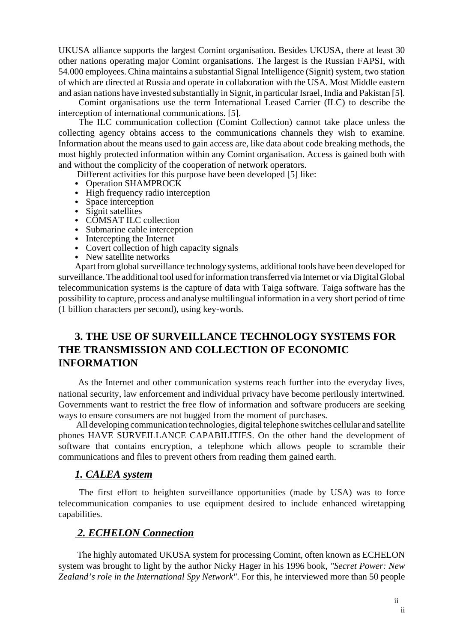UKUSA alliance supports the largest Comint organisation. Besides UKUSA, there at least 30 other nations operating major Comint organisations. The largest is the Russian FAPSI, with 54.000 employees. China maintains a substantial Signal Intelligence (Signit) system, two station of which are directed at Russia and operate in collaboration with the USA. Most Middle eastern and asian nations have invested substantially in Signit, in particular Israel, India and Pakistan [5].

 Comint organisations use the term International Leased Carrier (ILC) to describe the interception of international communications. [5].

 The ILC communication collection (Comint Collection) cannot take place unless the collecting agency obtains access to the communications channels they wish to examine. Information about the means used to gain access are, like data about code breaking methods, the most highly protected information within any Comint organisation. Access is gained both with and without the complicity of the cooperation of network operators.

Different activities for this purpose have been developed [5] like:

- Operation SHAMPROCK
- High frequency radio interception
- Space interception
- 
- Signit satellites<br>• COMSAT ILC collection
- Submarine cable interception
- $\bullet$  Intercepting the Internet
- Covert collection of high capacity signals
- New satellite networks

Apart from global surveillance technology systems, additional tools have been developed for surveillance. The additional tool used for information transferred via Internet or via Digital Global telecommunication systems is the capture of data with Taiga software. Taiga software has the possibility to capture, process and analyse multilingual information in a very short period of time (1 billion characters per second), using key-words.

# **3. THE USE OF SURVEILLANCE TECHNOLOGY SYSTEMS FOR THE TRANSMISSION AND COLLECTION OF ECONOMIC INFORMATION**

As the Internet and other communication systems reach further into the everyday lives, national security, law enforcement and individual privacy have become perilously intertwined. Governments want to restrict the free flow of information and software producers are seeking ways to ensure consumers are not bugged from the moment of purchases.

 All developing communication technologies, digital telephone switches cellular and satellite phones HAVE SURVEILLANCE CAPABILITIES. On the other hand the development of software that contains encryption, a telephone which allows people to scramble their communications and files to prevent others from reading them gained earth.

#### *1. CALEA system*

The first effort to heighten surveillance opportunities (made by USA) was to force telecommunication companies to use equipment desired to include enhanced wiretapping capabilities.

#### *2. ECHELON Connection*

The highly automated UKUSA system for processing Comint, often known as ECHELON system was brought to light by the author Nicky Hager in his 1996 book, *"Secret Power: New Zealand's role in the International Spy Network"*. For this, he interviewed more than 50 people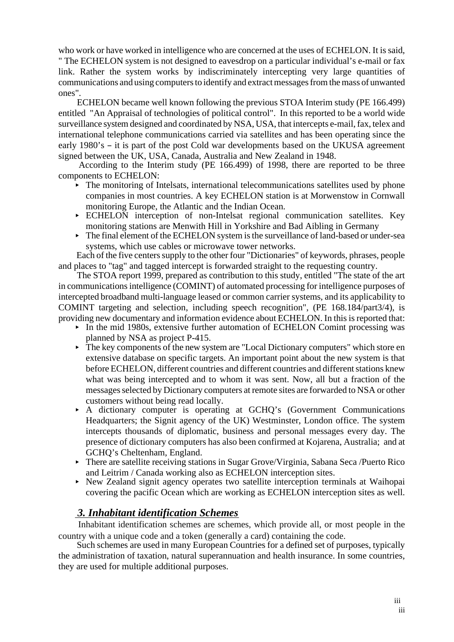who work or have worked in intelligence who are concerned at the uses of ECHELON. It is said, " The ECHELON system is not designed to eavesdrop on a particular individual's e-mail or fax link. Rather the system works by indiscriminately intercepting very large quantities of communications and using computers to identify and extract messages from the mass of unwanted ones".

 ECHELON became well known following the previous STOA Interim study (PE 166.499) entitled "An Appraisal of technologies of political control". In this reported to be a world wide surveillance system designed and coordinated by NSA, USA, that intercepts e-mail, fax, telex and international telephone communications carried via satellites and has been operating since the early  $1980$ 's  $-$  it is part of the post Cold war developments based on the UKUSA agreement signed between the UK, USA, Canada, Australia and New Zealand in 1948.

 According to the Interim study (PE 166.499) of 1998, there are reported to be three components to ECHELON:

- $\triangleright$  The monitoring of Intelsats, international telecommunications satellites used by phone companies in most countries. A key ECHELON station is at Morwenstow in Cornwall monitoring Europe, the Atlantic and the Indian Ocean.
- $\triangleright$  ECHELON interception of non-Intelsat regional communication satellites. Key monitoring stations are Menwith Hill in Yorkshire and Bad Aibling in Germany
- $\triangleright$  The final element of the ECHELON system is the surveillance of land-based or under-sea systems, which use cables or microwave tower networks.

 Each of the five centers supply to the other four "Dictionaries" of keywords, phrases, people and places to "tag" and tagged intercept is forwarded straight to the requesting country.

 The STOA report 1999, prepared as contribution to this study, entitled "The state of the art in communications intelligence (COMINT) of automated processing for intelligence purposes of intercepted broadband multi-language leased or common carrier systems, and its applicability to COMINT targeting and selection, including speech recognition", (PE 168.184/part3/4), is providing new documentary and information evidence about ECHELON. In this is reported that:

- < In the mid 1980s, extensive further automation of ECHELON Comint processing was planned by NSA as project P-415.
- $\triangleright$  The key components of the new system are "Local Dictionary computers" which store en extensive database on specific targets. An important point about the new system is that before ECHELON, different countries and different countries and different stations knew what was being intercepted and to whom it was sent. Now, all but a fraction of the messages selected by Dictionary computers at remote sites are forwarded to NSA or other customers without being read locally.
- < A dictionary computer is operating at GCHQ's (Government Communications Headquarters; the Signit agency of the UK) Westminster, London office. The system intercepts thousands of diplomatic, business and personal messages every day. The presence of dictionary computers has also been confirmed at Kojarena, Australia; and at GCHQ's Cheltenham, England.
- < There are satellite receiving stations in Sugar Grove/Virginia, Sabana Seca /Puerto Rico and Leitrim / Canada working also as ECHELON interception sites.
- < New Zealand signit agency operates two satellite interception terminals at Waihopai covering the pacific Ocean which are working as ECHELON interception sites as well.

## *3. Inhabitant identification Schemes*

Inhabitant identification schemes are schemes, which provide all, or most people in the country with a unique code and a token (generally a card) containing the code.

 Such schemes are used in many European Countries for a defined set of purposes, typically the administration of taxation, natural superannuation and health insurance. In some countries, they are used for multiple additional purposes.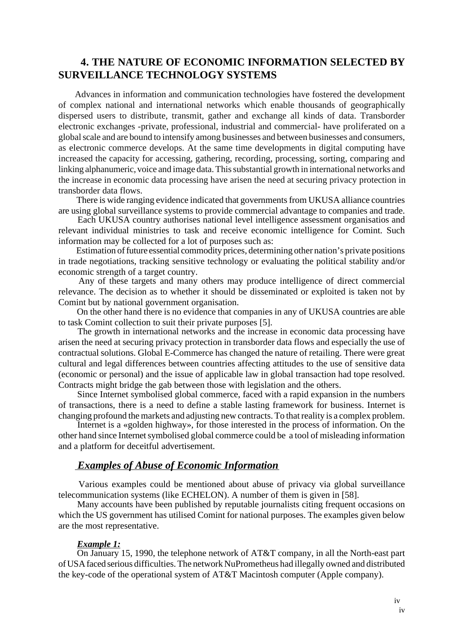## **4. THE NATURE OF ECONOMIC INFORMATION SELECTED BY SURVEILLANCE TECHNOLOGY SYSTEMS**

Advances in information and communication technologies have fostered the development of complex national and international networks which enable thousands of geographically dispersed users to distribute, transmit, gather and exchange all kinds of data. Transborder electronic exchanges -private, professional, industrial and commercial- have proliferated on a global scale and are bound to intensify among businesses and between businesses and consumers, as electronic commerce develops. At the same time developments in digital computing have increased the capacity for accessing, gathering, recording, processing, sorting, comparing and linking alphanumeric, voice and image data. This substantial growth in international networks and the increase in economic data processing have arisen the need at securing privacy protection in transborder data flows.

 There is wide ranging evidence indicated that governments from UKUSA alliance countries are using global surveillance systems to provide commercial advantage to companies and trade.

 Each UKUSA country authorises national level intelligence assessment organisatios and relevant individual ministries to task and receive economic intelligence for Comint. Such information may be collected for a lot of purposes such as:

 Estimation of future essential commodity prices, determining other nation's private positions in trade negotiations, tracking sensitive technology or evaluating the political stability and/or economic strength of a target country.

 Any of these targets and many others may produce intelligence of direct commercial relevance. The decision as to whether it should be disseminated or exploited is taken not by Comint but by national government organisation.

 On the other hand there is no evidence that companies in any of UKUSA countries are able to task Comint collection to suit their private purposes [5].

 The growth in international networks and the increase in economic data processing have arisen the need at securing privacy protection in transborder data flows and especially the use of contractual solutions. Global E-Commerce has changed the nature of retailing. There were great cultural and legal differences between countries affecting attitudes to the use of sensitive data (economic or personal) and the issue of applicable law in global transaction had tope resolved. Contracts might bridge the gab between those with legislation and the others.

 Since Internet symbolised global commerce, faced with a rapid expansion in the numbers of transactions, there is a need to define a stable lasting framework for business. Internet is changing profound the markets and adjusting new contracts. To that reality is a complex problem.

 Internet is a «golden highway», for those interested in the process of information. On the other hand since Internet symbolised global commerce could be a tool of misleading information and a platform for deceitful advertisement.

## *Examples of Abuse of Economic Information*

 Various examples could be mentioned about abuse of privacy via global surveillance telecommunication systems (like ECHELON). A number of them is given in [58].

 Many accounts have been published by reputable journalists citing frequent occasions on which the US government has utilised Comint for national purposes. The examples given below are the most representative.

#### *Example 1:*

 On January 15, 1990, the telephone network of AT&T company, in all the North-east part of USA faced serious difficulties. The network NuPrometheus had illegally owned and distributed the key-code of the operational system of AT&T Macintosh computer (Apple company).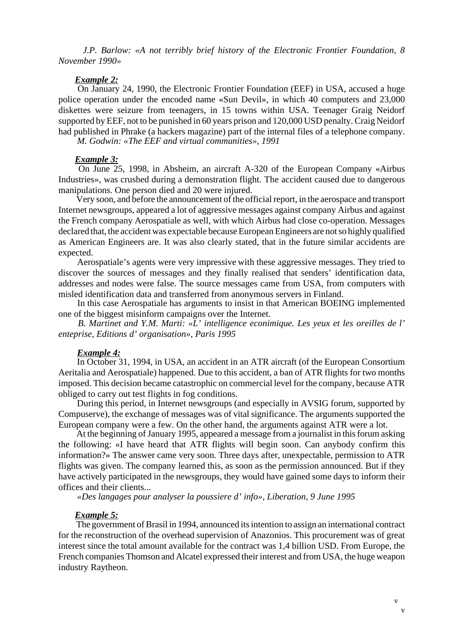*J.P. Barlow: «A not terribly brief history of the Electronic Frontier Foundation, 8 November 1990»*

#### *Example 2:*

 On January 24, 1990, the Electronic Frontier Foundation (EEF) in USA, accused a huge police operation under the encoded name «Sun Devil», in which 40 computers and 23,000 diskettes were seizure from teenagers, in 15 towns within USA. Teenager Graig Neidorf supported by EEF, not to be punished in 60 years prison and 120,000 USD penalty. Craig Neidorf had published in Phrake (a hackers magazine) part of the internal files of a telephone company.

*M. Godwin: «The EEF and virtual communities», 1991*

#### *Example 3:*

 On June 25, 1998, in Absheim, an aircraft A-320 of the European Company «Airbus Industries», was crushed during a demonstration flight. The accident caused due to dangerous manipulations. One person died and 20 were injured.

 Very soon, and before the announcement of the official report, in the aerospace and transport Internet newsgroups, appeared a lot of aggressive messages against company Airbus and against the French company Aerospatiale as well, with which Airbus had close co-operation. Messages declared that, the accident was expectable because European Engineers are not so highly qualified as American Engineers are. It was also clearly stated, that in the future similar accidents are expected.

 Aerospatiale's agents were very impressive with these aggressive messages. They tried to discover the sources of messages and they finally realised that senders' identification data, addresses and nodes were false. The source messages came from USA, from computers with misled identification data and transferred from anonymous servers in Finland.

 In this case Aerospatiale has arguments to insist in that American BOEING implemented one of the biggest misinform campaigns over the Internet.

*B. Martinet and Y.M. Marti: «L' intelligence econimique. Les yeux et les oreilles de l' enteprise, Editions d' organisation», Paris 1995*

#### *Example 4:*

 In October 31, 1994, in USA, an accident in an ATR aircraft (of the European Consortium Aeritalia and Aerospatiale) happened. Due to this accident, a ban of ATR flights for two months imposed. This decision became catastrophic on commercial level for the company, because ATR obliged to carry out test flights in fog conditions.

 During this period, in Internet newsgroups (and especially in AVSIG forum, supported by Compuserve), the exchange of messages was of vital significance. The arguments supported the European company were a few. On the other hand, the arguments against ATR were a lot.

 At the beginning of January 1995, appeared a message from a journalist in this forum asking the following: «I have heard that ATR flights will begin soon. Can anybody confirm this information?» The answer came very soon. Three days after, unexpectable, permission to ATR flights was given. The company learned this, as soon as the permission announced. But if they have actively participated in the newsgroups, they would have gained some days to inform their offices and their clients...

*«Des langages pour analyser la poussiere d' info», Liberation, 9 June 1995*

#### *Example 5:*

 The government of Brasil in 1994, announced its intention to assign an international contract for the reconstruction of the overhead supervision of Anazonios. This procurement was of great interest since the total amount available for the contract was 1,4 billion USD. From Europe, the French companies Thomson and Alcatel expressed their interest and from USA, the huge weapon industry Raytheon.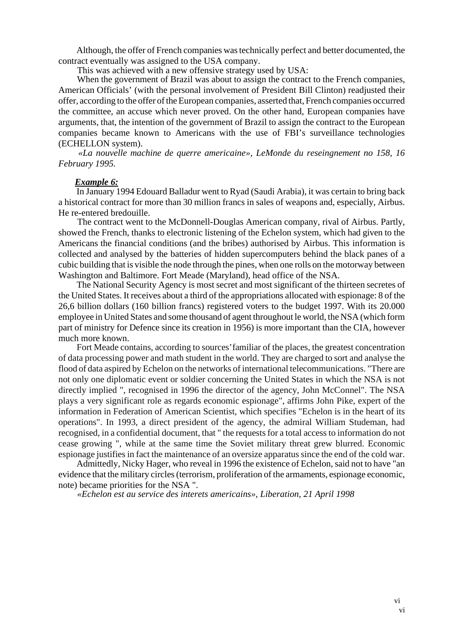Although, the offer of French companies was technically perfect and better documented, the contract eventually was assigned to the USA company.

This was achieved with a new offensive strategy used by USA:

When the government of Brazil was about to assign the contract to the French companies, American Officials' (with the personal involvement of President Bill Clinton) readjusted their offer, according to the offer of the European companies, asserted that, French companies occurred the committee, an accuse which never proved. On the other hand, European companies have arguments, that, the intention of the government of Brazil to assign the contract to the European companies became known to Americans with the use of FBI's surveillance technologies (ECHELLON system).

*«La nouvelle machine de querre americaine», LeMonde du reseingnement no 158, 16 February 1995.*

#### *Example 6:*

 In January 1994 Edouard Balladur went to Ryad (Saudi Arabia), it was certain to bring back a historical contract for more than 30 million francs in sales of weapons and, especially, Airbus. He re-entered bredouille.

 The contract went to the McDonnell-Douglas American company, rival of Airbus. Partly, showed the French, thanks to electronic listening of the Echelon system, which had given to the Americans the financial conditions (and the bribes) authorised by Airbus. This information is collected and analysed by the batteries of hidden supercomputers behind the black panes of a cubic building that is visible the node through the pines, when one rolls on the motorway between Washington and Baltimore. Fort Meade (Maryland), head office of the NSA.

 The National Security Agency is most secret and most significant of the thirteen secretes of the United States. It receives about a third of the appropriations allocated with espionage: 8 of the 26,6 billion dollars (160 billion francs) registered voters to the budget 1997. With its 20.000 employee in United States and some thousand of agent throughout le world, the NSA (which form part of ministry for Defence since its creation in 1956) is more important than the CIA, however much more known.

 Fort Meade contains, according to sources' familiar of the places, the greatest concentration of data processing power and math student in the world. They are charged to sort and analyse the flood of data aspired by Echelon on the networks of international telecommunications. "There are not only one diplomatic event or soldier concerning the United States in which the NSA is not directly implied ", recognised in 1996 the director of the agency, John McConnel". The NSA plays a very significant role as regards economic espionage", affirms John Pike, expert of the information in Federation of American Scientist, which specifies "Echelon is in the heart of its operations". In 1993, a direct president of the agency, the admiral William Studeman, had recognised, in a confidential document, that " the requests for a total access to information do not cease growing ", while at the same time the Soviet military threat grew blurred. Economic espionage justifies in fact the maintenance of an oversize apparatus since the end of the cold war.

 Admittedly, Nicky Hager, who reveal in 1996 the existence of Echelon, said not to have "an evidence that the military circles (terrorism, proliferation of the armaments, espionage economic, note) became priorities for the NSA ".

*«Echelon est au service des interets americains», Liberation, 21 April 1998*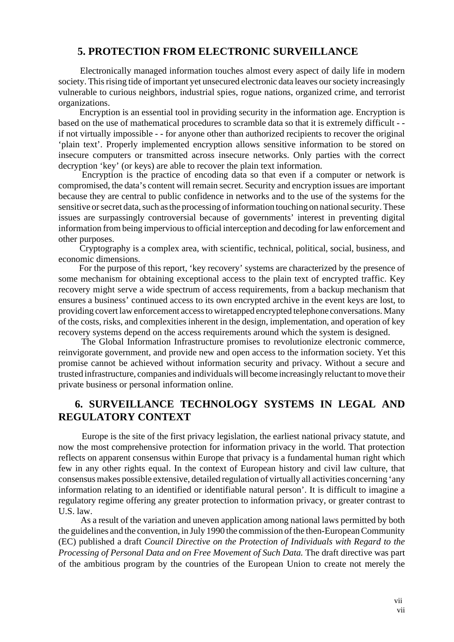## **5. PROTECTION FROM ELECTRONIC SURVEILLANCE**

 Electronically managed information touches almost every aspect of daily life in modern society. This rising tide of important yet unsecured electronic data leaves our society increasingly vulnerable to curious neighbors, industrial spies, rogue nations, organized crime, and terrorist organizations.

 Encryption is an essential tool in providing security in the information age. Encryption is based on the use of mathematical procedures to scramble data so that it is extremely difficult - if not virtually impossible - - for anyone other than authorized recipients to recover the original 'plain text'. Properly implemented encryption allows sensitive information to be stored on insecure computers or transmitted across insecure networks. Only parties with the correct decryption 'key' (or keys) are able to recover the plain text information.

 Encryption is the practice of encoding data so that even if a computer or network is compromised, the data's content will remain secret. Security and encryption issues are important because they are central to public confidence in networks and to the use of the systems for the sensitive or secret data, such as the processing of information touching on national security. These issues are surpassingly controversial because of governments' interest in preventing digital information from being impervious to official interception and decoding for law enforcement and other purposes.

 Cryptography is a complex area, with scientific, technical, political, social, business, and economic dimensions.

 For the purpose of this report, 'key recovery' systems are characterized by the presence of some mechanism for obtaining exceptional access to the plain text of encrypted traffic. Key recovery might serve a wide spectrum of access requirements, from a backup mechanism that ensures a business' continued access to its own encrypted archive in the event keys are lost, to providing covert law enforcement access to wiretapped encrypted telephone conversations. Many of the costs, risks, and complexities inherent in the design, implementation, and operation of key recovery systems depend on the access requirements around which the system is designed.

 The Global Information Infrastructure promises to revolutionize electronic commerce, reinvigorate government, and provide new and open access to the information society. Yet this promise cannot be achieved without information security and privacy. Without a secure and trusted infrastructure, companies and individuals will become increasingly reluctant to move their private business or personal information online.

# **6. SURVEILLANCE TECHNOLOGY SYSTEMS IN LEGAL AND REGULATORY CONTEXT**

 Europe is the site of the first privacy legislation, the earliest national privacy statute, and now the most comprehensive protection for information privacy in the world. That protection reflects on apparent consensus within Europe that privacy is a fundamental human right which few in any other rights equal. In the context of European history and civil law culture, that consensus makes possible extensive, detailed regulation of virtually all activities concerning 'any information relating to an identified or identifiable natural person'. It is difficult to imagine a regulatory regime offering any greater protection to information privacy, or greater contrast to U.S. law.

 As a result of the variation and uneven application among national laws permitted by both the guidelines and the convention, in July 1990 the commission of the then-European Community (EC) published a draft *Council Directive on the Protection of Individuals with Regard to the Processing of Personal Data and on Free Movement of Such Data. The draft directive was part* of the ambitious program by the countries of the European Union to create not merely the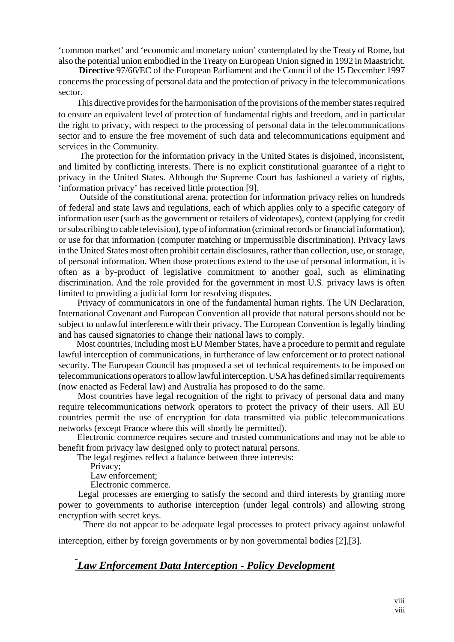'common market' and 'economic and monetary union' contemplated by the Treaty of Rome, but also the potential union embodied in the Treaty on European Union signed in 1992 in Maastricht.

 **Directive** 97/66/EC of the European Parliament and the Council of the 15 December 1997 concerns the processing of personal data and the protection of privacy in the telecommunications sector.

This directive provides for the harmonisation of the provisions of the member states required to ensure an equivalent level of protection of fundamental rights and freedom, and in particular the right to privacy, with respect to the processing of personal data in the telecommunications sector and to ensure the free movement of such data and telecommunications equipment and services in the Community.

 The protection for the information privacy in the United States is disjoined, inconsistent, and limited by conflicting interests. There is no explicit constitutional guarantee of a right to privacy in the United States. Although the Supreme Court has fashioned a variety of rights, 'information privacy' has received little protection [9].

 Outside of the constitutional arena, protection for information privacy relies on hundreds of federal and state laws and regulations, each of which applies only to a specific category of information user (such as the government or retailers of videotapes), context (applying for credit or subscribing to cable television), type of information (criminal records or financial information), or use for that information (computer matching or impermissible discrimination). Privacy laws in the United States most often prohibit certain disclosures, rather than collection, use, or storage, of personal information. When those protections extend to the use of personal information, it is often as a by-product of legislative commitment to another goal, such as eliminating discrimination. And the role provided for the government in most U.S. privacy laws is often limited to providing a judicial form for resolving disputes.

 Privacy of communicators in one of the fundamental human rights. The UN Declaration, International Covenant and European Convention all provide that natural persons should not be subject to unlawful interference with their privacy. The European Convention is legally binding and has caused signatories to change their national laws to comply.

 Most countries, including most EU Member States, have a procedure to permit and regulate lawful interception of communications, in furtherance of law enforcement or to protect national security. The European Council has proposed a set of technical requirements to be imposed on telecommunications operators to allow lawful interception. USA has defined similar requirements (now enacted as Federal law) and Australia has proposed to do the same.

 Most countries have legal recognition of the right to privacy of personal data and many require telecommunications network operators to protect the privacy of their users. All EU countries permit the use of encryption for data transmitted via public telecommunications networks (except France where this will shortly be permitted).

 Electronic commerce requires secure and trusted communications and may not be able to benefit from privacy law designed only to protect natural persons.

The legal regimes reflect a balance between three interests:

Privacy;

Law enforcement;

Electronic commerce.

 Legal processes are emerging to satisfy the second and third interests by granting more power to governments to authorise interception (under legal controls) and allowing strong encryption with secret keys.

There do not appear to be adequate legal processes to protect privacy against unlawful

interception, either by foreign governments or by non governmental bodies [2],[3].

## *Law Enforcement Data Interception - Policy Development*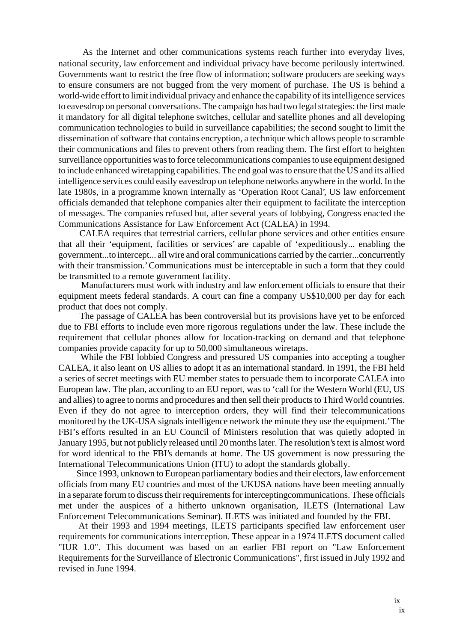As the Internet and other communications systems reach further into everyday lives, national security, law enforcement and individual privacy have become perilously intertwined. Governments want to restrict the free flow of information; software producers are seeking ways to ensure consumers are not bugged from the very moment of purchase. The US is behind a world-wide effort to limit individual privacy and enhance the capability of its intelligence services to eavesdrop on personal conversations. The campaign has had two legal strategies: the first made it mandatory for all digital telephone switches, cellular and satellite phones and all developing communication technologies to build in surveillance capabilities; the second sought to limit the dissemination of software that contains encryption, a technique which allows people to scramble their communications and files to prevent others from reading them. The first effort to heighten surveillance opportunities was to force telecommunications companies to use equipment designed to include enhanced wiretapping capabilities. The end goal was to ensure that the US and its allied intelligence services could easily eavesdrop on telephone networks anywhere in the world. In the late 1980s, in a programme known internally as 'Operation Root Canal', US law enforcement officials demanded that telephone companies alter their equipment to facilitate the interception of messages. The companies refused but, after several years of lobbying, Congress enacted the Communications Assistance for Law Enforcement Act (CALEA) in 1994.

 CALEA requires that terrestrial carriers, cellular phone services and other entities ensure that all their 'equipment, facilities or services' are capable of 'expeditiously... enabling the government...to intercept... all wire and oral communications carried by the carrier...concurrently with their transmission.' Communications must be interceptable in such a form that they could be transmitted to a remote government facility.

 Manufacturers must work with industry and law enforcement officials to ensure that their equipment meets federal standards. A court can fine a company US\$10,000 per day for each product that does not comply.

 The passage of CALEA has been controversial but its provisions have yet to be enforced due to FBI efforts to include even more rigorous regulations under the law. These include the requirement that cellular phones allow for location-tracking on demand and that telephone companies provide capacity for up to 50,000 simultaneous wiretaps.

While the FBI lobbied Congress and pressured US companies into accepting a tougher CALEA, it also leant on US allies to adopt it as an international standard. In 1991, the FBI held a series of secret meetings with EU member states to persuade them to incorporate CALEA into European law. The plan, according to an EU report, was to 'call for the Western World (EU, US and allies) to agree to norms and procedures and then sell their products to Third World countries. Even if they do not agree to interception orders, they will find their telecommunications monitored by the UK-USA signals intelligence network the minute they use the equipment.' The FBI's efforts resulted in an EU Council of Ministers resolution that was quietly adopted in January 1995, but not publicly released until 20 months later. The resolution's text is almost word for word identical to the FBI's demands at home. The US government is now pressuring the International Telecommunications Union (ITU) to adopt the standards globally.

 Since 1993, unknown to European parliamentary bodies and their electors, law enforcement officials from many EU countries and most of the UKUSA nations have been meeting annually in a separate forum to discuss their requirements for interceptingcommunications. These officials met under the auspices of a hitherto unknown organisation, ILETS (International Law Enforcement Telecommunications Seminar). ILETS was initiated and founded by the FBI.

At their 1993 and 1994 meetings, ILETS participants specified law enforcement user requirements for communications interception. These appear in a 1974 ILETS document called "IUR 1.0". This document was based on an earlier FBI report on "Law Enforcement Requirements for the Surveillance of Electronic Communications", first issued in July 1992 and revised in June 1994.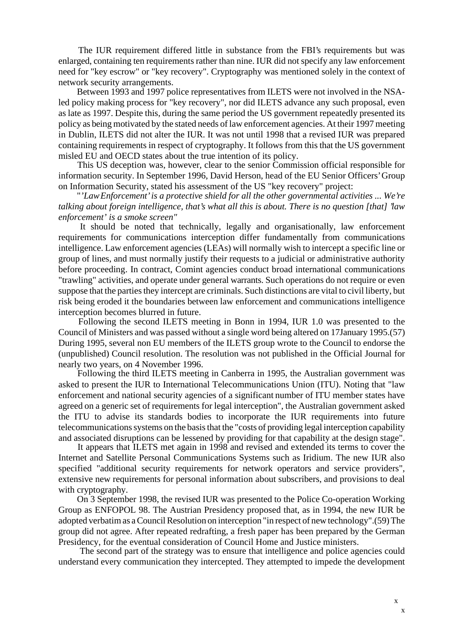The IUR requirement differed little in substance from the FBI's requirements but was enlarged, containing ten requirements rather than nine. IUR did not specify any law enforcement need for "key escrow" or "key recovery". Cryptography was mentioned solely in the context of network security arrangements.

 Between 1993 and 1997 police representatives from ILETS were not involved in the NSAled policy making process for "key recovery", nor did ILETS advance any such proposal, even as late as 1997. Despite this, during the same period the US government repeatedly presented its policy as being motivated by the stated needs of law enforcement agencies. At their 1997 meeting in Dublin, ILETS did not alter the IUR. It was not until 1998 that a revised IUR was prepared containing requirements in respect of cryptography. It follows from this that the US government misled EU and OECD states about the true intention of its policy.

 This US deception was, however, clear to the senior Commission official responsible for information security. In September 1996, David Herson, head of the EU Senior Officers' Group on Information Security, stated his assessment of the US "key recovery" project:

 "*'Law Enforcement' is a protective shield for all the other governmental activities ... We're talking about foreign intelligence, that's what all this is about. There is no question [that] 'law enforcement' is a smoke screen"*

 It should be noted that technically, legally and organisationally, law enforcement requirements for communications interception differ fundamentally from communications intelligence. Law enforcement agencies (LEAs) will normally wish to intercept a specific line or group of lines, and must normally justify their requests to a judicial or administrative authority before proceeding. In contract, Comint agencies conduct broad international communications "trawling" activities, and operate under general warrants. Such operations do not require or even suppose that the parties they intercept are criminals. Such distinctions are vital to civil liberty, but risk being eroded it the boundaries between law enforcement and communications intelligence interception becomes blurred in future.

 Following the second ILETS meeting in Bonn in 1994, IUR 1.0 was presented to the Council of Ministers and was passed without a single word being altered on 17January 1995.(57) During 1995, several non EU members of the ILETS group wrote to the Council to endorse the (unpublished) Council resolution. The resolution was not published in the Official Journal for nearly two years, on 4 November 1996.

 Following the third ILETS meeting in Canberra in 1995, the Australian government was asked to present the IUR to International Telecommunications Union (ITU). Noting that "law enforcement and national security agencies of a significant number of ITU member states have agreed on a generic set of requirements for legal interception", the Australian government asked the ITU to advise its standards bodies to incorporate the IUR requirements into future telecommunications systems on the basis that the "costs of providing legal interception capability and associated disruptions can be lessened by providing for that capability at the design stage".

It appears that ILETS met again in 1998 and revised and extended its terms to cover the Internet and Satellite Personal Communications Systems such as Iridium. The new IUR also specified "additional security requirements for network operators and service providers", extensive new requirements for personal information about subscribers, and provisions to deal with cryptography.

 On 3 September 1998, the revised IUR was presented to the Police Co-operation Working Group as ENFOPOL 98. The Austrian Presidency proposed that, as in 1994, the new IUR be adopted verbatim as a Council Resolution on interception "in respect of new technology".(59) The group did not agree. After repeated redrafting, a fresh paper has been prepared by the German Presidency, for the eventual consideration of Council Home and Justice ministers.

 The second part of the strategy was to ensure that intelligence and police agencies could understand every communication they intercepted. They attempted to impede the development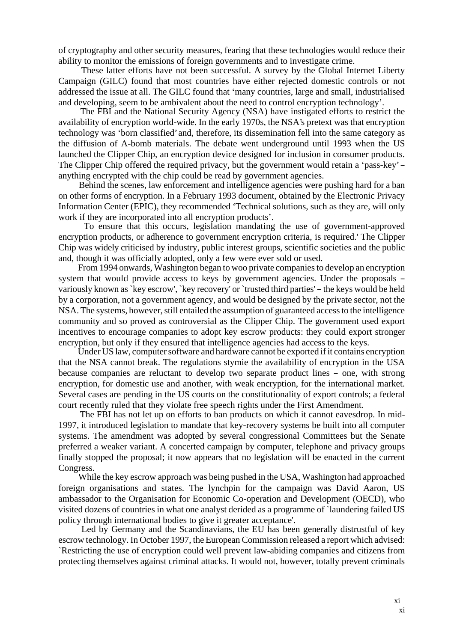of cryptography and other security measures, fearing that these technologies would reduce their ability to monitor the emissions of foreign governments and to investigate crime.

 These latter efforts have not been successful. A survey by the Global Internet Liberty Campaign (GILC) found that most countries have either rejected domestic controls or not addressed the issue at all. The GILC found that 'many countries, large and small, industrialised and developing, seem to be ambivalent about the need to control encryption technology'.

 The FBI and the National Security Agency (NSA) have instigated efforts to restrict the availability of encryption world-wide. In the early 1970s, the NSA's pretext was that encryption technology was 'born classified' and, therefore, its dissemination fell into the same category as the diffusion of A-bomb materials. The debate went underground until 1993 when the US launched the Clipper Chip, an encryption device designed for inclusion in consumer products. The Clipper Chip offered the required privacy, but the government would retain a 'pass-key'  $$ anything encrypted with the chip could be read by government agencies.

 Behind the scenes, law enforcement and intelligence agencies were pushing hard for a ban on other forms of encryption. In a February 1993 document, obtained by the Electronic Privacy Information Center (EPIC), they recommended 'Technical solutions, such as they are, will only work if they are incorporated into all encryption products'.

 To ensure that this occurs, legislation mandating the use of government-approved encryption products, or adherence to government encryption criteria, is required.' The Clipper Chip was widely criticised by industry, public interest groups, scientific societies and the public and, though it was officially adopted, only a few were ever sold or used.

 From 1994 onwards, Washington began to woo private companies to develop an encryption system that would provide access to keys by government agencies. Under the proposals variously known as `key escrow', `key recovery' or `trusted third parties' – the keys would be held by a corporation, not a government agency, and would be designed by the private sector, not the NSA. The systems, however, still entailed the assumption of guaranteed access to the intelligence community and so proved as controversial as the Clipper Chip. The government used export incentives to encourage companies to adopt key escrow products: they could export stronger encryption, but only if they ensured that intelligence agencies had access to the keys.

 Under US law, computer software and hardware cannot be exported if it contains encryption that the NSA cannot break. The regulations stymie the availability of encryption in the USA because companies are reluctant to develop two separate product lines  $-$  one, with strong encryption, for domestic use and another, with weak encryption, for the international market. Several cases are pending in the US courts on the constitutionality of export controls; a federal court recently ruled that they violate free speech rights under the First Amendment.

 The FBI has not let up on efforts to ban products on which it cannot eavesdrop. In mid-1997, it introduced legislation to mandate that key-recovery systems be built into all computer systems. The amendment was adopted by several congressional Committees but the Senate preferred a weaker variant. A concerted campaign by computer, telephone and privacy groups finally stopped the proposal; it now appears that no legislation will be enacted in the current Congress.

 While the key escrow approach was being pushed in the USA, Washington had approached foreign organisations and states. The lynchpin for the campaign was David Aaron, US ambassador to the Organisation for Economic Co-operation and Development (OECD), who visited dozens of countries in what one analyst derided as a programme of `laundering failed US policy through international bodies to give it greater acceptance'.

Led by Germany and the Scandinavians, the EU has been generally distrustful of key escrow technology. In October 1997, the European Commission released a report which advised: `Restricting the use of encryption could well prevent law-abiding companies and citizens from protecting themselves against criminal attacks. It would not, however, totally prevent criminals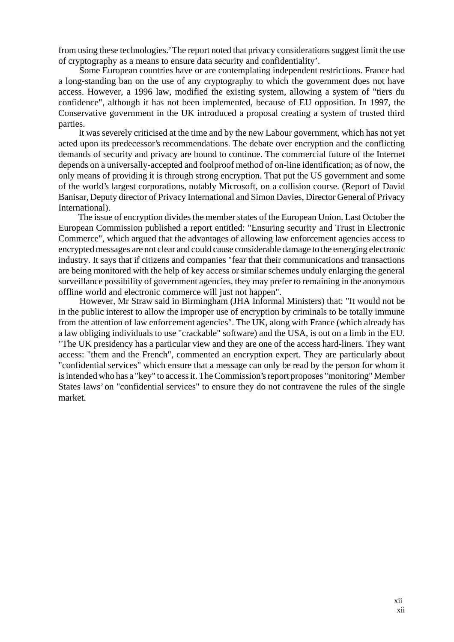from using these technologies.' The report noted that privacy considerations suggest limit the use of cryptography as a means to ensure data security and confidentiality'.

 Some European countries have or are contemplating independent restrictions. France had a long-standing ban on the use of any cryptography to which the government does not have access. However, a 1996 law, modified the existing system, allowing a system of "tiers du confidence", although it has not been implemented, because of EU opposition. In 1997, the Conservative government in the UK introduced a proposal creating a system of trusted third parties.

 It was severely criticised at the time and by the new Labour government, which has not yet acted upon its predecessor's recommendations. The debate over encryption and the conflicting demands of security and privacy are bound to continue. The commercial future of the Internet depends on a universally-accepted and foolproof method of on-line identification; as of now, the only means of providing it is through strong encryption. That put the US government and some of the world's largest corporations, notably Microsoft, on a collision course. (Report of David Banisar, Deputy director of Privacy International and Simon Davies, Director General of Privacy International).

 The issue of encryption divides the member states of the European Union. Last October the European Commission published a report entitled: "Ensuring security and Trust in Electronic Commerce", which argued that the advantages of allowing law enforcement agencies access to encrypted messages are not clear and could cause considerable damage to the emerging electronic industry. It says that if citizens and companies "fear that their communications and transactions are being monitored with the help of key access or similar schemes unduly enlarging the general surveillance possibility of government agencies, they may prefer to remaining in the anonymous offline world and electronic commerce will just not happen".

 However, Mr Straw said in Birmingham (JHA Informal Ministers) that: "It would not be in the public interest to allow the improper use of encryption by criminals to be totally immune from the attention of law enforcement agencies". The UK, along with France (which already has a law obliging individuals to use "crackable" software) and the USA, is out on a limb in the EU. "The UK presidency has a particular view and they are one of the access hard-liners. They want access: "them and the French", commented an encryption expert. They are particularly about "confidential services" which ensure that a message can only be read by the person for whom it is intended who has a "key" to access it. The Commission's report proposes "monitoring" Member States laws' on "confidential services" to ensure they do not contravene the rules of the single market.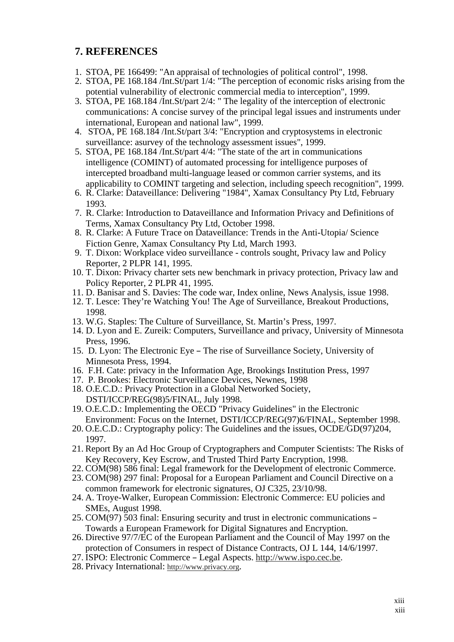## **7. REFERENCES**

- 1. STOA, PE 166499: "An appraisal of technologies of political control", 1998.
- 2. STOA, PE 168.184 /Int.St/part 1/4: "The perception of economic risks arising from the potential vulnerability of electronic commercial media to interception", 1999.
- 3. STOA, PE 168.184 /Int.St/part 2/4: " The legality of the interception of electronic communications: A concise survey of the principal legal issues and instruments under international, European and national law", 1999.
- 4. STOA, PE 168.184 /Int.St/part 3/4: "Encryption and cryptosystems in electronic surveillance: asurvey of the technology assessment issues", 1999.
- 5. STOA, PE 168.184 /Int.St/part 4/4: "The state of the art in communications intelligence (COMINT) of automated processing for intelligence purposes of intercepted broadband multi-language leased or common carrier systems, and its applicability to COMINT targeting and selection, including speech recognition", 1999.
- 6. R. Clarke: Dataveillance: Delivering "1984", Xamax Consultancy Pty Ltd, February 1993.
- 7. R. Clarke: Introduction to Dataveillance and Information Privacy and Definitions of Terms, Xamax Consultancy Pty Ltd, October 1998.
- 8. R. Clarke: A Future Trace on Dataveillance: Trends in the Anti-Utopia/ Science Fiction Genre, Xamax Consultancy Pty Ltd, March 1993.
- 9. T. Dixon: Workplace video surveillance controls sought, Privacy law and Policy Reporter, 2 PLPR 141, 1995.
- 10. T. Dixon: Privacy charter sets new benchmark in privacy protection, Privacy law and Policy Reporter, 2 PLPR 41, 1995.
- 11. D. Banisar and S. Davies: The code war, Index online, News Analysis, issue 1998.
- 12. T. Lesce: They're Watching You! The Age of Surveillance, Breakout Productions, 1998.
- 13. W.G. Staples: The Culture of Surveillance, St. Martin's Press, 1997.
- 14. D. Lyon and E. Zureik: Computers, Surveillance and privacy, University of Minnesota Press, 1996.
- 15. D. Lyon: The Electronic Eye The rise of Surveillance Society, University of Minnesota Press, 1994.
- 16. F.H. Cate: privacy in the Information Age, Brookings Institution Press, 1997
- 17. P. Brookes: Electronic Surveillance Devices, Newnes, 1998
- 18. O.E.C.D.: Privacy Protection in a Global Networked Society, DSTI/ICCP/REG(98)5/FINAL, July 1998.
- 19. O.E.C.D.: Implementing the OECD "Privacy Guidelines" in the Electronic Environment: Focus on the Internet, DSTI/ICCP/REG(97)6/FINAL, September 1998.
- 20. O.E.C.D.: Cryptography policy: The Guidelines and the issues, OCDE/GD(97)204, 1997.
- 21. Report By an Ad Hoc Group of Cryptographers and Computer Scientists: The Risks of Key Recovery, Key Escrow, and Trusted Third Party Encryption, 1998.
- 22. COM(98) 586 final: Legal framework for the Development of electronic Commerce.
- 23. COM(98) 297 final: Proposal for a European Parliament and Council Directive on a common framework for electronic signatures, OJ C325, 23/10/98.
- 24. A. Troye-Walker, European Commission: Electronic Commerce: EU policies and SMEs, August 1998.
- $25. \text{COM}(97)$  503 final: Ensuring security and trust in electronic communications Towards a European Framework for Digital Signatures and Encryption.
- 26. Directive 97/7/EC of the European Parliament and the Council of May 1997 on the protection of Consumers in respect of Distance Contracts, OJ L 144, 14/6/1997.
- $27.$  ISPO: Electronic Commerce  $-\text{legal Aspects.}$  http://www.ispo.cec.be.
- 28. Privacy International: http://www.privacy.org.